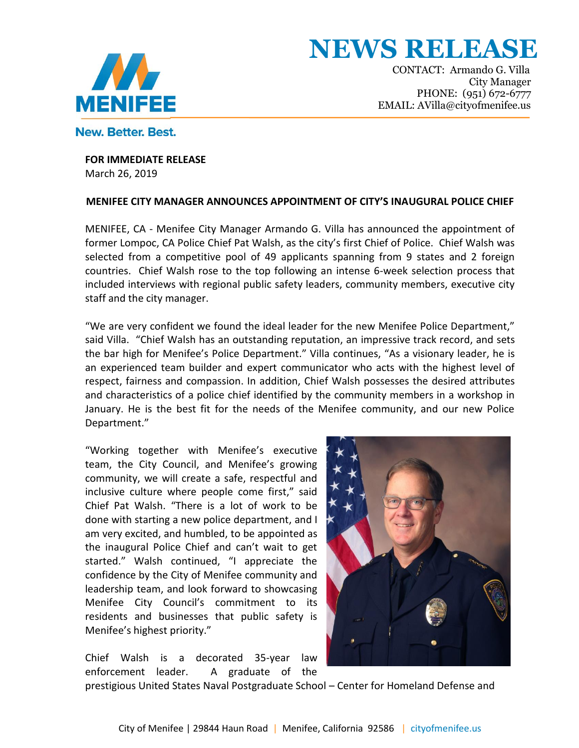

New, Better, Best.

 CONTACT: Armando G. Villa CONTACT: Armando G. Villa<br>City Manager PHONE: (951) 672-6777<br>EMAIL: AVilla@cityofmenifee.us EMAIL: AVilla@cityofmenifee.us

#### **FOR IMMEDIATE RELEASE** March 26, 2019

### **MENIFEE CITY MANAGER ANNOUNCES APPOINTMENT OF CITY'S INAUGURAL POLICE CHIEF**

MENIFEE, CA - Menifee City Manager Armando G. Villa has announced the appointment of former Lompoc, CA Police Chief Pat Walsh, as the city's first Chief of Police. Chief Walsh was selected from a competitive pool of 49 applicants spanning from 9 states and 2 foreign countries. Chief Walsh rose to the top following an intense 6-week selection process that included interviews with regional public safety leaders, community members, executive city staff and the city manager.

"We are very confident we found the ideal leader for the new Menifee Police Department," said Villa. "Chief Walsh has an outstanding reputation, an impressive track record, and sets the bar high for Menifee's Police Department." Villa continues, "As a visionary leader, he is an experienced team builder and expert communicator who acts with the highest level of respect, fairness and compassion. In addition, Chief Walsh possesses the desired attributes and characteristics of a police chief identified by the community members in a workshop in January. He is the best fit for the needs of the Menifee community, and our new Police Department."

"Working together with Menifee's executive team, the City Council, and Menifee's growing community, we will create a safe, respectful and inclusive culture where people come first," said Chief Pat Walsh. "There is a lot of work to be done with starting a new police department, and I am very excited, and humbled, to be appointed as the inaugural Police Chief and can't wait to get started." Walsh continued, "I appreciate the confidence by the City of Menifee community and leadership team, and look forward to showcasing Menifee City Council's commitment to its residents and businesses that public safety is Menifee's highest priority."

Chief Walsh is a decorated 35-year law enforcement leader. A graduate of the



prestigious United States Naval Postgraduate School – Center for Homeland Defense and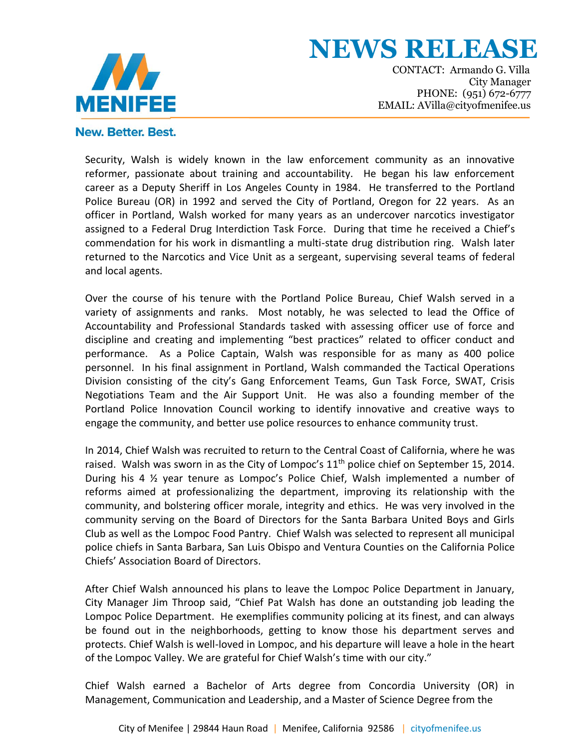

**NEWS RELEAS** 

 CONTACT: Armando G. Villa CONTACT: Armando G. Villa<br>City Manager PHONE: (951) 672-6777<br>EMAIL: AVilla@cityofmenifee.us EMAIL: AVilla@cityofmenifee.us

# New. Better. Best.

Security, Walsh is widely known in the law enforcement community as an innovative reformer, passionate about training and accountability. He began his law enforcement career as a Deputy Sheriff in Los Angeles County in 1984. He transferred to the Portland Police Bureau (OR) in 1992 and served the City of Portland, Oregon for 22 years. As an officer in Portland, Walsh worked for many years as an undercover narcotics investigator assigned to a Federal Drug Interdiction Task Force. During that time he received a Chief's commendation for his work in dismantling a multi-state drug distribution ring. Walsh later returned to the Narcotics and Vice Unit as a sergeant, supervising several teams of federal and local agents.

Over the course of his tenure with the Portland Police Bureau, Chief Walsh served in a variety of assignments and ranks. Most notably, he was selected to lead the Office of Accountability and Professional Standards tasked with assessing officer use of force and discipline and creating and implementing "best practices" related to officer conduct and performance. As a Police Captain, Walsh was responsible for as many as 400 police personnel. In his final assignment in Portland, Walsh commanded the Tactical Operations Division consisting of the city's Gang Enforcement Teams, Gun Task Force, SWAT, Crisis Negotiations Team and the Air Support Unit. He was also a founding member of the Portland Police Innovation Council working to identify innovative and creative ways to engage the community, and better use police resources to enhance community trust.

In 2014, Chief Walsh was recruited to return to the Central Coast of California, where he was raised. Walsh was sworn in as the City of Lompoc's  $11<sup>th</sup>$  police chief on September 15, 2014. During his 4 ½ year tenure as Lompoc's Police Chief, Walsh implemented a number of reforms aimed at professionalizing the department, improving its relationship with the community, and bolstering officer morale, integrity and ethics. He was very involved in the community serving on the Board of Directors for the Santa Barbara United Boys and Girls Club as well as the Lompoc Food Pantry. Chief Walsh was selected to represent all municipal police chiefs in Santa Barbara, San Luis Obispo and Ventura Counties on the California Police Chiefs' Association Board of Directors.

After Chief Walsh announced his plans to leave the Lompoc Police Department in January, City Manager Jim Throop said, "Chief Pat Walsh has done an outstanding job leading the Lompoc Police Department. He exemplifies community policing at its finest, and can always be found out in the neighborhoods, getting to know those his department serves and protects. Chief Walsh is well-loved in Lompoc, and his departure will leave a hole in the heart of the Lompoc Valley. We are grateful for Chief Walsh's time with our city."

Chief Walsh earned a Bachelor of Arts degree from Concordia University (OR) in Management, Communication and Leadership, and a Master of Science Degree from the